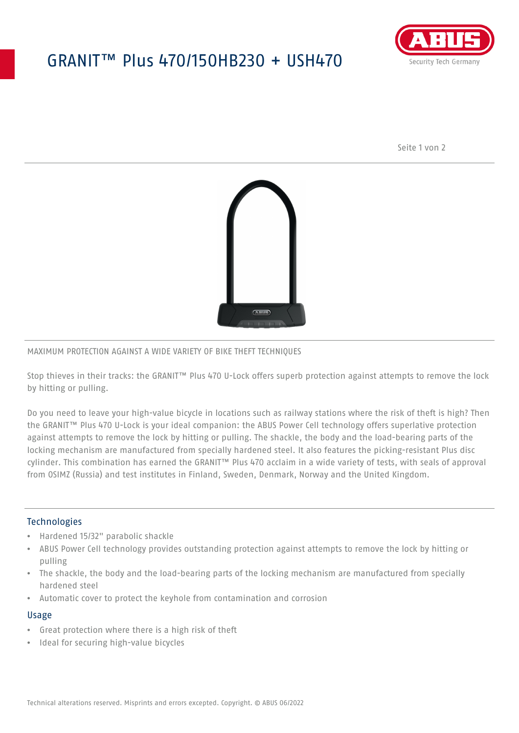## GRANIT™ Plus 470/150HB230 + USH470



Seite 1 von 2



#### MAXIMUM PROTECTION AGAINST A WIDE VARIETY OF BIKE THEFT TECHNIQUES

Stop thieves in their tracks: the GRANIT™ Plus 470 U-Lock offers superb protection against attempts to remove the lock by hitting or pulling.

Do you need to leave your high-value bicycle in locations such as railway stations where the risk of theft is high? Then the GRANIT™ Plus 470 U-Lock is your ideal companion: the ABUS Power Cell technology offers superlative protection against attempts to remove the lock by hitting or pulling. The shackle, the body and the load-bearing parts of the locking mechanism are manufactured from specially hardened steel. It also features the picking-resistant Plus disc cylinder. This combination has earned the GRANIT™ Plus 470 acclaim in a wide variety of tests, with seals of approval from OSIMZ (Russia) and test institutes in Finland, Sweden, Denmark, Norway and the United Kingdom.

#### **Technologies**

- Hardened 15/32" parabolic shackle
- ABUS Power Cell technology provides outstanding protection against attempts to remove the lock by hitting or pulling
- The shackle, the body and the load-bearing parts of the locking mechanism are manufactured from specially hardened steel
- Automatic cover to protect the keyhole from contamination and corrosion

#### Usage

- Great protection where there is a high risk of theft
- Ideal for securing high-value bicycles